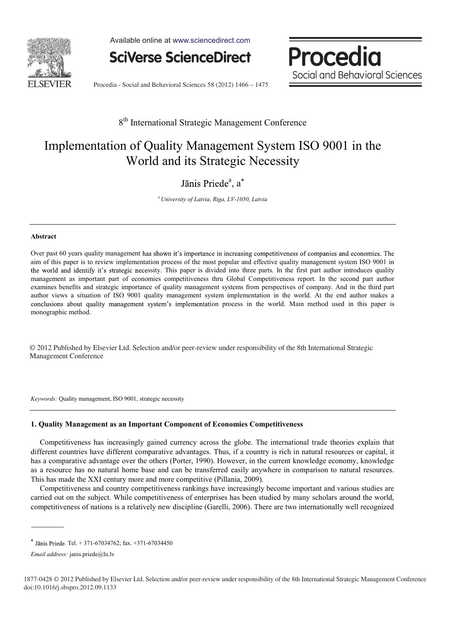

Available online at www.sciencedirect.com

**SciVerse ScienceDirect** 



Procedia - Social and Behavioral Sciences 58 (2012) 1466 - 1475

### 8<sup>th</sup> International Strategic Management Conference

## Implementation of Quality Management System ISO 9001 in the World and its Strategic Necessity

### $a$ , a

*a University of Latvia, Riga, LV-1050, Latvia* 

#### **Abstract**

Over past 60 years quality management has shown it's importance in increasing competitiveness of companies and economies. The aim of this paper is to review implementation process of the most popular and effective quality management system ISO 9001 in the world and identify it's strategic necessity. This paper is divided into three parts. In the first part author introduces quality management as important part of economies competitiveness thru Global Competitiveness report. In the second part author examines benefits and strategic importance of quality management systems from perspectives of company. And in the third part author views a situation of ISO 9001 quality management system implementation in the world. At the end author makes a conclusions about quality management system's implementation process in the world. Main method used in this paper is monographic method.

© 2012 Published by Elsevier Ltd. Selection and/or peer-review under responsibility of the 8th International Strategic Management Conference Management Conference

*Keywords:* Quality management, ISO 9001, strategic necessity

#### **1. Quality Management as an Important Component of Economies Competitiveness**

Competitiveness has increasingly gained currency across the globe. The international trade theories explain that different countries have different comparative advantages. Thus, if a country is rich in natural resources or capital, it has a comparative advantage over the others (Porter, 1990). However, in the current knowledge economy, knowledge as a resource has no natural home base and can be transferred easily anywhere in comparison to natural resources. This has made the XXI century more and more competitive (Pillania, 2009).

Competitiveness and country competitiveness rankings have increasingly become important and various studies are carried out on the subject. While competitiveness of enterprises has been studied by many scholars around the world, competitiveness of nations is a relatively new discipline (Garelli, 2006). There are two internationally well recognized

 $*$  Jānis Priede. Tel. + 371-67034762; fax. +371-67034450

*Email address:* janis.priede@lu.lv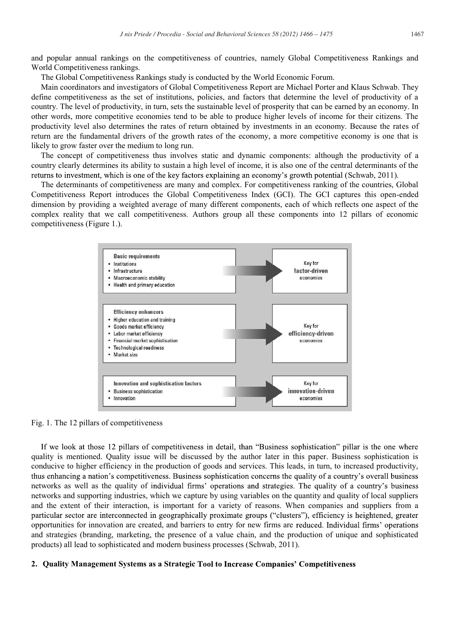and popular annual rankings on the competitiveness of countries, namely Global Competitiveness Rankings and World Competitiveness rankings.

The Global Competitiveness Rankings study is conducted by the World Economic Forum.

Main coordinators and investigators of Global Competitiveness Report are Michael Porter and Klaus Schwab. They define competitiveness as the set of institutions, policies, and factors that determine the level of productivity of a country. The level of productivity, in turn, sets the sustainable level of prosperity that can be earned by an economy. In other words, more competitive economies tend to be able to produce higher levels of income for their citizens. The productivity level also determines the rates of return obtained by investments in an economy. Because the rates of return are the fundamental drivers of the growth rates of the economy, a more competitive economy is one that is likely to grow faster over the medium to long run.

The concept of competitiveness thus involves static and dynamic components: although the productivity of a country clearly determines its ability to sustain a high level of income, it is also one of the central determinants of the returns to investment, which is one of the key factors explaining an economy's growth potential (Schwab, 2011).

The determinants of competitiveness are many and complex. For competitiveness ranking of the countries, Global Competitiveness Report introduces the Global Competitiveness Index (GCI). The GCI captures this open-ended dimension by providing a weighted average of many different components, each of which reflects one aspect of the complex reality that we call competitiveness. Authors group all these components into 12 pillars of economic competitiveness (Figure 1.).



Fig. 1. The 12 pillars of competitiveness

If we look at those 12 pillars of competitiveness in detail, than "Business sophistication" pillar is the one where quality is mentioned. Quality issue will be discussed by the author later in this paper. Business sophistication is conducive to higher efficiency in the production of goods and services. This leads, in turn, to increased productivity, thus enhancing a nation's competitiveness. Business sophistication concerns the quality of a country's overall business networks as well as the quality of individual firms' operations and strategies. The quality of a country's business networks and supporting industries, which we capture by using variables on the quantity and quality of local suppliers and the extent of their interaction, is important for a variety of reasons. When companies and suppliers from a particular sector are interconnected in geographically proximate groups ("clusters"), efficiency is heightened, greater opportunities for innovation are created, and barriers to entry for new firms are and strategies (branding, marketing, the presence of a value chain, and the production of unique and sophisticated products) all lead to sophisticated and modern business processes (Schwab, 2011).

#### **2. Quality Management Systems as a Strategic**